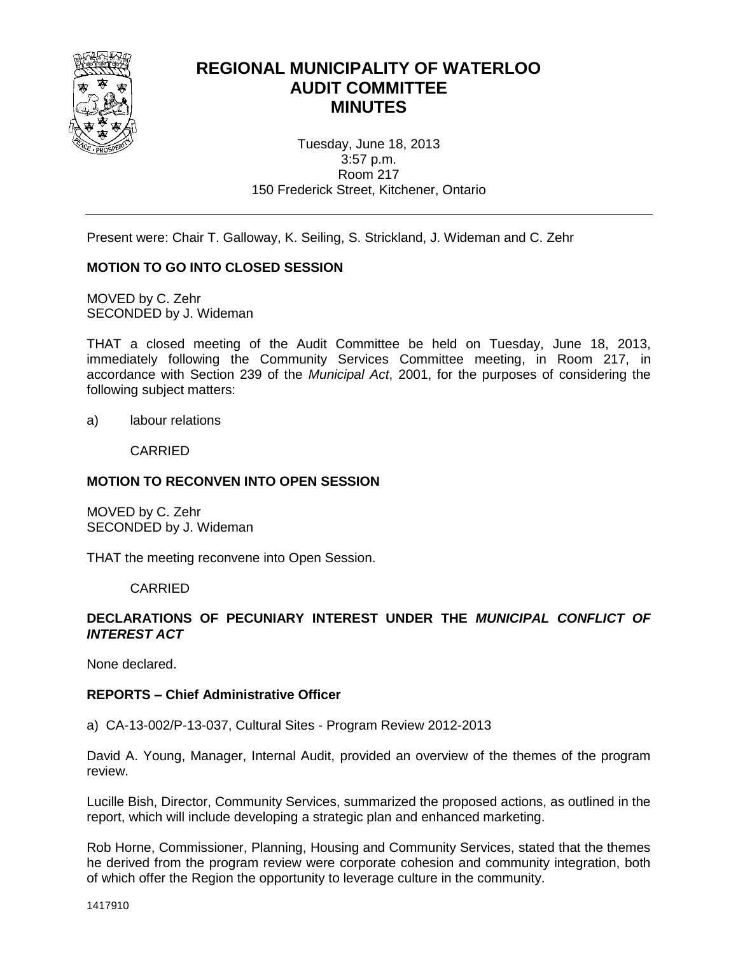

# **REGIONAL MUNICIPALITY OF WATERLOO AUDIT COMMITTEE MINUTES**

Tuesday, June 18, 2013 3:57 p.m. Room 217 150 Frederick Street, Kitchener, Ontario

Present were: Chair T. Galloway, K. Seiling, S. Strickland, J. Wideman and C. Zehr

# **MOTION TO GO INTO CLOSED SESSION**

MOVED by C. Zehr SECONDED by J. Wideman

THAT a closed meeting of the Audit Committee be held on Tuesday, June 18, 2013, immediately following the Community Services Committee meeting, in Room 217, in accordance with Section 239 of the *Municipal Act*, 2001, for the purposes of considering the following subject matters:

a) labour relations

CARRIED

## **MOTION TO RECONVEN INTO OPEN SESSION**

MOVED by C. Zehr SECONDED by J. Wideman

THAT the meeting reconvene into Open Session.

CARRIED

## **DECLARATIONS OF PECUNIARY INTEREST UNDER THE** *MUNICIPAL CONFLICT OF INTEREST ACT*

None declared.

#### **REPORTS – Chief Administrative Officer**

a) CA-13-002/P-13-037, Cultural Sites - Program Review 2012-2013

David A. Young, Manager, Internal Audit, provided an overview of the themes of the program review.

Lucille Bish, Director, Community Services, summarized the proposed actions, as outlined in the report, which will include developing a strategic plan and enhanced marketing.

Rob Horne, Commissioner, Planning, Housing and Community Services, stated that the themes he derived from the program review were corporate cohesion and community integration, both of which offer the Region the opportunity to leverage culture in the community.